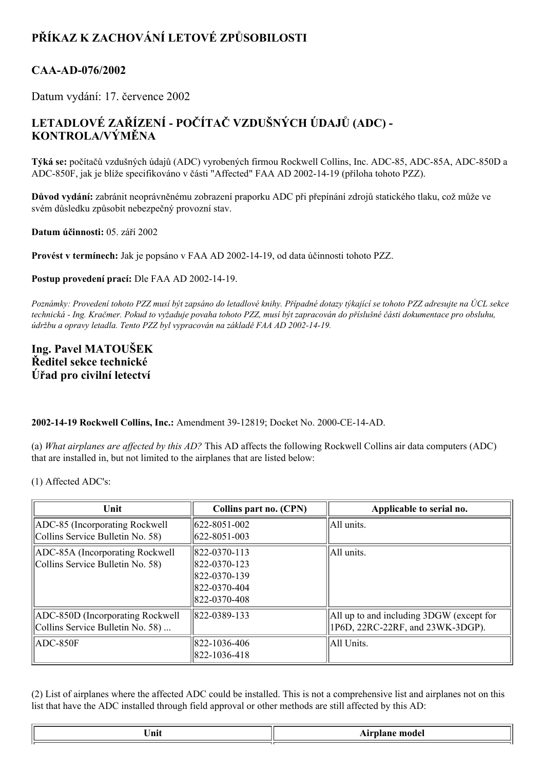## **PŘÍKAZ K ZACHOVÁNÍ LETOVÉ ZPŮSOBILOSTI**

## CAA-AD-076/2002

Datum vydání: 17. července 2002

## **LETADLOVÉ ZAŘÍZENÍ POČÍTAČ VZDUŠNÝCH ÚDAJŮ (ADC) KONTROLA/VÝMĚNA**

Týká se: počítačů vzdušných údajů (ADC) vyrobených firmou Rockwell Collins, Inc. ADC-85, ADC-85A, ADC-850D a ADC850F, jak je blíže specifikováno v části "Affected" FAA AD 20021419 (příloha tohoto PZZ).

**Důvod vydání:** zabránit neoprávněnému zobrazení praporku ADC při přepínání zdrojů statického tlaku, což může ve svém důsledku způsobit nebezpečný provozní stav.

**Datum účinnosti:** 05. září 2002

**Provést v termínech:** Jak je popsáno v FAA AD 20021419, od data účinnosti tohoto PZZ.

**Postup provedení prací:** Dle FAA AD 2002-14-19.

Poznámky: Provedení tohoto PZZ musí být zapsáno do letadlové knihy. Případné dotazy týkající se tohoto PZZ adresujte na ÚCL sekce technická - Ing. Kračmer. Pokud to vyžaduje povaha tohoto PZZ, musí být zapracován do příslušné části dokumentace pro obsluhu, *údržbu a opravy letadla. Tento PZZ byl vypracován na základě FAA AD 20021419.*

## **Ing. Pavel MATOUŠEK Ředitel sekce technické Úřad pro civilní letectví**

**2002-14-19 Rockwell Collins, Inc.: Amendment 39-12819; Docket No. 2000-CE-14-AD.** 

(a) *What airplanes are af ected by this AD?* This AD affects the following Rockwell Collins air data computers (ADC) that are installed in, but not limited to the airplanes that are listed below:

(1) Affected ADC's:

| Unit                                                                 | Collins part no. (CPN)                                                        | Applicable to serial no.                                                     |
|----------------------------------------------------------------------|-------------------------------------------------------------------------------|------------------------------------------------------------------------------|
| ADC-85 (Incorporating Rockwell)<br>Collins Service Bulletin No. 58)  | $ 622 - 8051 - 002 $<br>$ 622 - 8051 - 003 $                                  | All units.                                                                   |
| ADC-85A (Incorporating Rockwell<br>Collins Service Bulletin No. 58)  | 822-0370-113<br>822-0370-123<br>1822-0370-139<br>822-0370-404<br>822-0370-408 | All units.                                                                   |
| ADC-850D (Incorporating Rockwell<br>Collins Service Bulletin No. 58) | 822-0389-133                                                                  | All up to and including 3DGW (except for<br>1P6D, 22RC-22RF, and 23WK-3DGP). |
| ADC-850F                                                             | 822-1036-406<br>822-1036-418                                                  | All Units.                                                                   |

(2) List of airplanes where the affected ADC could be installed. This is not a comprehensive list and airplanes not on this list that have the ADC installed through field approval or other methods are still affected by this AD:

| $ -$ |  |
|------|--|
|      |  |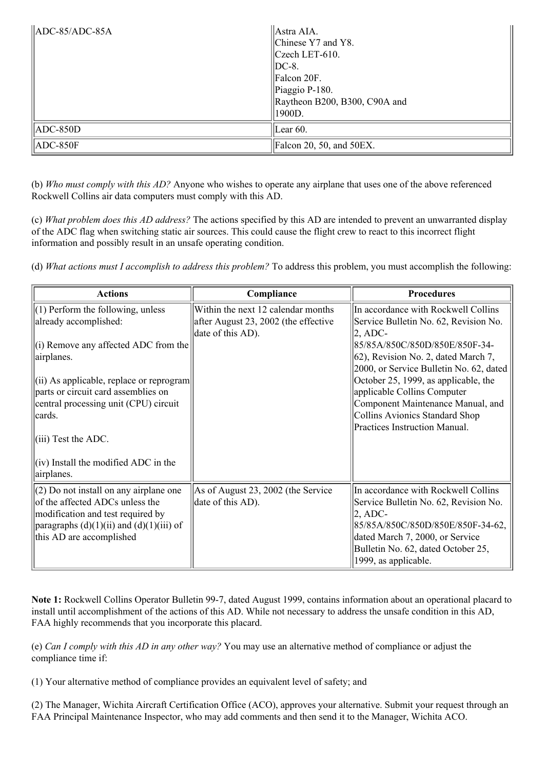| $\vert$ ADC-85/ADC-85A | $\parallel$ Astra AIA.<br>Chinese Y7 and Y8.<br>$ $ Czech LET-610.<br>$\vert$ DC-8.<br>Falcon 20F.<br>Piaggio P-180.<br> Raytheon B200, B300, C90A and<br> 1900D. |  |
|------------------------|-------------------------------------------------------------------------------------------------------------------------------------------------------------------|--|
| $ $ ADC-850D           | Lear $60$ .                                                                                                                                                       |  |
| $ $ ADC-850F           | $\left\vert$ Falcon 20, 50, and 50EX.                                                                                                                             |  |

(b) *Who must comply with this AD?* Anyone who wishes to operate any airplane that uses one of the above referenced Rockwell Collins air data computers must comply with this AD.

(c) *What problem does this AD address?* The actions specified by this AD are intended to prevent an unwarranted display of the ADC flag when switching static air sources. This could cause the flight crew to react to this incorrect flight information and possibly result in an unsafe operating condition.

(d) *What actions must I accomplish to address this problem?* To address this problem, you must accomplish the following:

| <b>Actions</b>                                                                                                                                                                               | Compliance                                                                 | <b>Procedures</b>                                                                                                                                                                                                                |
|----------------------------------------------------------------------------------------------------------------------------------------------------------------------------------------------|----------------------------------------------------------------------------|----------------------------------------------------------------------------------------------------------------------------------------------------------------------------------------------------------------------------------|
| $(1)$ Perform the following, unless<br>already accomplished:                                                                                                                                 | Within the next 12 calendar months<br>after August 23, 2002 (the effective | In accordance with Rockwell Collins<br>Service Bulletin No. 62, Revision No.                                                                                                                                                     |
| (i) Remove any affected ADC from the<br>airplanes.                                                                                                                                           | date of this AD).                                                          | $ 2,$ ADC-<br>85/85A/850C/850D/850E/850F-34-<br>$(62)$ , Revision No. 2, dated March 7,<br>2000, or Service Bulletin No. 62, dated                                                                                               |
| $\vert$ (ii) As applicable, replace or reprogram $\vert$<br>parts or circuit card assemblies on<br>central processing unit (CPU) circuit<br>cards.<br>$(iii)$ Test the ADC.                  |                                                                            | October 25, 1999, as applicable, the<br>applicable Collins Computer<br>Component Maintenance Manual, and<br>Collins Avionics Standard Shop<br>Practices Instruction Manual.                                                      |
| $\vert$ (iv) Install the modified ADC in the<br>airplanes.                                                                                                                                   |                                                                            |                                                                                                                                                                                                                                  |
| $(2)$ Do not install on any airplane one<br>of the affected ADCs unless the<br>modification and test required by<br>paragraphs $(d)(1)(ii)$ and $(d)(1)(iii)$ of<br>this AD are accomplished | As of August 23, 2002 (the Service<br>date of this AD).                    | In accordance with Rockwell Collins<br>Service Bulletin No. 62, Revision No.<br>$ 2,$ ADC-<br>85/85A/850C/850D/850E/850F-34-62,<br>dated March 7, 2000, or Service<br>Bulletin No. 62, dated October 25,<br>1999, as applicable. |

Note 1: Rockwell Collins Operator Bulletin 99-7, dated August 1999, contains information about an operational placard to install until accomplishment of the actions of this AD. While not necessary to address the unsafe condition in this AD, FAA highly recommends that you incorporate this placard.

(e) *Can I comply with this AD in any other way?* You may use an alternative method of compliance or adjust the compliance time if:

(1) Your alternative method of compliance provides an equivalent level of safety; and

(2) The Manager, Wichita Aircraft Certification Office (ACO), approves your alternative. Submit your request through an FAA Principal Maintenance Inspector, who may add comments and then send it to the Manager, Wichita ACO.